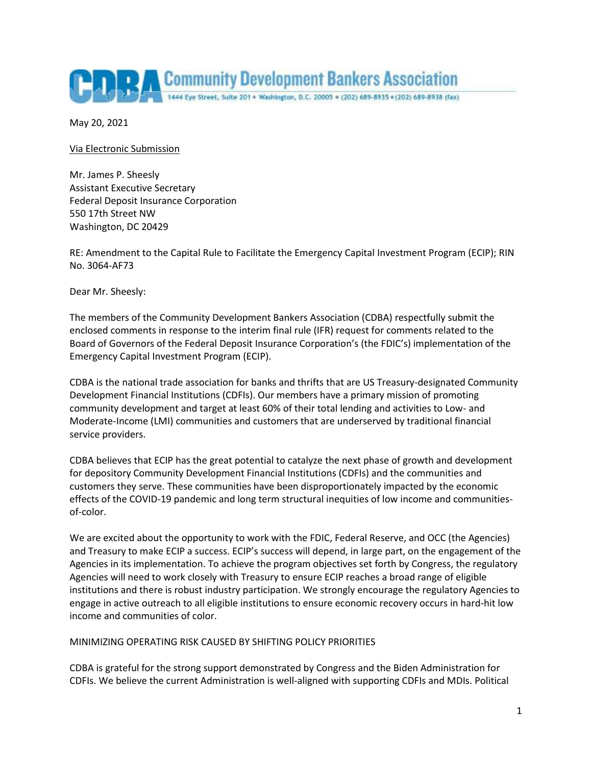

May 20, 2021

Via Electronic Submission

Mr. James P. Sheesly Assistant Executive Secretary Federal Deposit Insurance Corporation 550 17th Street NW Washington, DC 20429

RE: Amendment to the Capital Rule to Facilitate the Emergency Capital Investment Program (ECIP); RIN No. 3064-AF73

Dear Mr. Sheesly:

The members of the Community Development Bankers Association (CDBA) respectfully submit the enclosed comments in response to the interim final rule (IFR) request for comments related to the Board of Governors of the Federal Deposit Insurance Corporation's (the FDIC's) implementation of the Emergency Capital Investment Program (ECIP).

CDBA is the national trade association for banks and thrifts that are US Treasury-designated Community Development Financial Institutions (CDFIs). Our members have a primary mission of promoting community development and target at least 60% of their total lending and activities to Low- and Moderate-Income (LMI) communities and customers that are underserved by traditional financial service providers.

CDBA believes that ECIP has the great potential to catalyze the next phase of growth and development for depository Community Development Financial Institutions (CDFIs) and the communities and customers they serve. These communities have been disproportionately impacted by the economic effects of the COVID-19 pandemic and long term structural inequities of low income and communitiesof-color.

We are excited about the opportunity to work with the FDIC, Federal Reserve, and OCC (the Agencies) and Treasury to make ECIP a success. ECIP's success will depend, in large part, on the engagement of the Agencies in its implementation. To achieve the program objectives set forth by Congress, the regulatory Agencies will need to work closely with Treasury to ensure ECIP reaches a broad range of eligible institutions and there is robust industry participation. We strongly encourage the regulatory Agencies to engage in active outreach to all eligible institutions to ensure economic recovery occurs in hard-hit low income and communities of color.

# MINIMIZING OPERATING RISK CAUSED BY SHIFTING POLICY PRIORITIES

CDBA is grateful for the strong support demonstrated by Congress and the Biden Administration for CDFIs. We believe the current Administration is well-aligned with supporting CDFIs and MDIs. Political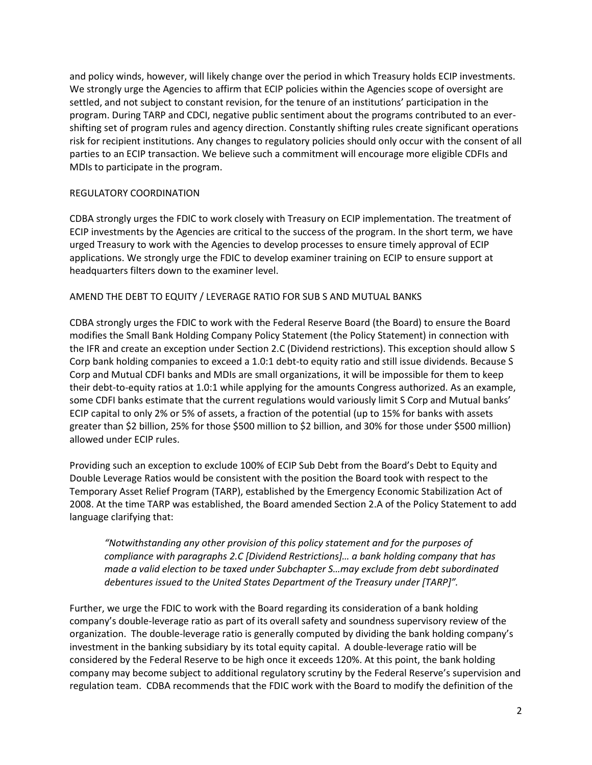and policy winds, however, will likely change over the period in which Treasury holds ECIP investments. We strongly urge the Agencies to affirm that ECIP policies within the Agencies scope of oversight are settled, and not subject to constant revision, for the tenure of an institutions' participation in the program. During TARP and CDCI, negative public sentiment about the programs contributed to an evershifting set of program rules and agency direction. Constantly shifting rules create significant operations risk for recipient institutions. Any changes to regulatory policies should only occur with the consent of all parties to an ECIP transaction. We believe such a commitment will encourage more eligible CDFIs and MDIs to participate in the program.

# REGULATORY COORDINATION

CDBA strongly urges the FDIC to work closely with Treasury on ECIP implementation. The treatment of ECIP investments by the Agencies are critical to the success of the program. In the short term, we have urged Treasury to work with the Agencies to develop processes to ensure timely approval of ECIP applications. We strongly urge the FDIC to develop examiner training on ECIP to ensure support at headquarters filters down to the examiner level.

# AMEND THE DEBT TO EQUITY / LEVERAGE RATIO FOR SUB S AND MUTUAL BANKS

CDBA strongly urges the FDIC to work with the Federal Reserve Board (the Board) to ensure the Board modifies the Small Bank Holding Company Policy Statement (the Policy Statement) in connection with the IFR and create an exception under Section 2.C (Dividend restrictions). This exception should allow S Corp bank holding companies to exceed a 1.0:1 debt-to equity ratio and still issue dividends. Because S Corp and Mutual CDFI banks and MDIs are small organizations, it will be impossible for them to keep their debt-to-equity ratios at 1.0:1 while applying for the amounts Congress authorized. As an example, some CDFI banks estimate that the current regulations would variously limit S Corp and Mutual banks' ECIP capital to only 2% or 5% of assets, a fraction of the potential (up to 15% for banks with assets greater than \$2 billion, 25% for those \$500 million to \$2 billion, and 30% for those under \$500 million) allowed under ECIP rules.

Providing such an exception to exclude 100% of ECIP Sub Debt from the Board's Debt to Equity and Double Leverage Ratios would be consistent with the position the Board took with respect to the Temporary Asset Relief Program (TARP), established by the Emergency Economic Stabilization Act of 2008. At the time TARP was established, the Board amended Section 2.A of the Policy Statement to add language clarifying that:

*"Notwithstanding any other provision of this policy statement and for the purposes of compliance with paragraphs 2.C [Dividend Restrictions]… a bank holding company that has made a valid election to be taxed under Subchapter S…may exclude from debt subordinated debentures issued to the United States Department of the Treasury under [TARP]".* 

Further, we urge the FDIC to work with the Board regarding its consideration of a bank holding company's double-leverage ratio as part of its overall safety and soundness supervisory review of the organization. The double-leverage ratio is generally computed by dividing the bank holding company's investment in the banking subsidiary by its total equity capital. A double-leverage ratio will be considered by the Federal Reserve to be high once it exceeds 120%. At this point, the bank holding company may become subject to additional regulatory scrutiny by the Federal Reserve's supervision and regulation team. CDBA recommends that the FDIC work with the Board to modify the definition of the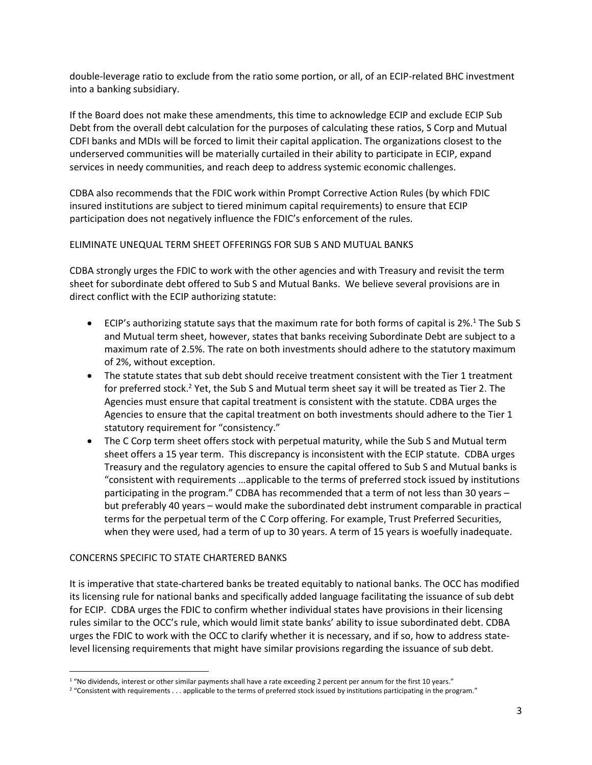double-leverage ratio to exclude from the ratio some portion, or all, of an ECIP-related BHC investment into a banking subsidiary.

If the Board does not make these amendments, this time to acknowledge ECIP and exclude ECIP Sub Debt from the overall debt calculation for the purposes of calculating these ratios, S Corp and Mutual CDFI banks and MDIs will be forced to limit their capital application. The organizations closest to the underserved communities will be materially curtailed in their ability to participate in ECIP, expand services in needy communities, and reach deep to address systemic economic challenges.

CDBA also recommends that the FDIC work within Prompt Corrective Action Rules (by which FDIC insured institutions are subject to tiered minimum capital requirements) to ensure that ECIP participation does not negatively influence the FDIC's enforcement of the rules.

# ELIMINATE UNEQUAL TERM SHEET OFFERINGS FOR SUB S AND MUTUAL BANKS

CDBA strongly urges the FDIC to work with the other agencies and with Treasury and revisit the term sheet for subordinate debt offered to Sub S and Mutual Banks. We believe several provisions are in direct conflict with the ECIP authorizing statute:

- ECIP's authorizing statute says that the maximum rate for both forms of capital is  $2\%$ .<sup>1</sup> The Sub S and Mutual term sheet, however, states that banks receiving Subordinate Debt are subject to a maximum rate of 2.5%. The rate on both investments should adhere to the statutory maximum of 2%, without exception.
- The statute states that sub debt should receive treatment consistent with the Tier 1 treatment for preferred stock.<sup>2</sup> Yet, the Sub S and Mutual term sheet say it will be treated as Tier 2. The Agencies must ensure that capital treatment is consistent with the statute. CDBA urges the Agencies to ensure that the capital treatment on both investments should adhere to the Tier 1 statutory requirement for "consistency."
- The C Corp term sheet offers stock with perpetual maturity, while the Sub S and Mutual term sheet offers a 15 year term. This discrepancy is inconsistent with the ECIP statute. CDBA urges Treasury and the regulatory agencies to ensure the capital offered to Sub S and Mutual banks is "consistent with requirements …applicable to the terms of preferred stock issued by institutions participating in the program." CDBA has recommended that a term of not less than 30 years – but preferably 40 years – would make the subordinated debt instrument comparable in practical terms for the perpetual term of the C Corp offering. For example, Trust Preferred Securities, when they were used, had a term of up to 30 years. A term of 15 years is woefully inadequate.

# CONCERNS SPECIFIC TO STATE CHARTERED BANKS

 $\overline{\phantom{a}}$ 

It is imperative that state-chartered banks be treated equitably to national banks. The OCC has modified its licensing rule for national banks and specifically added language facilitating the issuance of sub debt for ECIP. CDBA urges the FDIC to confirm whether individual states have provisions in their licensing rules similar to the OCC's rule, which would limit state banks' ability to issue subordinated debt. CDBA urges the FDIC to work with the OCC to clarify whether it is necessary, and if so, how to address statelevel licensing requirements that might have similar provisions regarding the issuance of sub debt.

<sup>&</sup>lt;sup>1</sup> "No dividends, interest or other similar payments shall have a rate exceeding 2 percent per annum for the first 10 years."

<sup>&</sup>lt;sup>2</sup> "Consistent with requirements . . . applicable to the terms of preferred stock issued by institutions participating in the program."